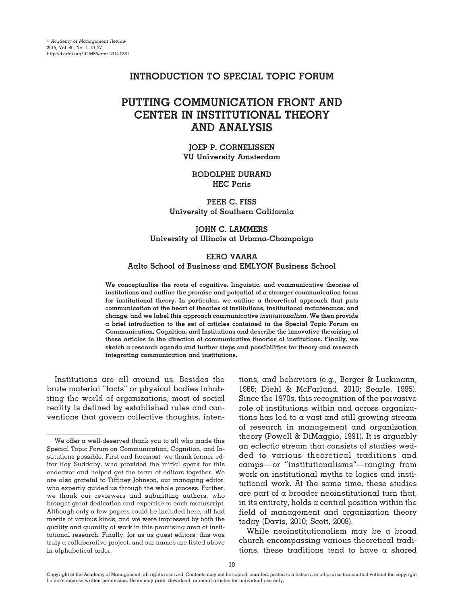## **INTRODUCTION TO SPECIAL TOPIC FORUM**

# **PUTTING COMMUNICATION FRONT AND CENTER IN INSTITUTIONAL THEORY AND ANALYSIS**

**JOEP P. CORNELISSEN VU University Amsterdam**

**RODOLPHE DURAND HEC Paris**

**PEER C. FISS University of Southern California**

## **JOHN C. LAMMERS University of Illinois at Urbana-Champaign**

#### **EERO VAARA Aalto School of Business and EMLYON Business School**

**We conceptualize the roots of cognitive, linguistic, and communicative theories of institutions and outline the promise and potential of a stronger communication focus** for institutional theory. In particular, we outline  $\alpha$  theoretical approach that puts **communication at the heart of theories of institutions, institutional maintenance, and change, and we label this approach** *communicative institutionalism***. We then provide a brief introduction to the set of articles contained in the Special Topic Forum on Communication, Cognition, and Institutions and describe the innovative theorizing of these articles in the direction of communicative theories of institutions. Finally, we sketch a research agenda and further steps and possibilities for theory and research integrating communication and institutions.**

Institutions are all around us. Besides the brute material "facts" or physical bodies inhabiting the world of organizations, most of social reality is defined by established rules and conventions that govern collective thoughts, intentions, and behaviors (e.g., Berger & Luckmann, 1966; Diehl & McFarland, 2010; Searle, 1995). Since the 1970s, this recognition of the pervasive role of institutions within and across organizations has led to a vast and still growing stream of research in management and organization theory (Powell & DiMaggio, 1991). It is arguably an eclectic stream that consists of studies wedded to various theoretical traditions and camps— or "institutionalisms"—ranging from work on institutional myths to logics and institutional work. At the same time, these studies are part of a broader neoinstitutional turn that, in its entirety, holds  $\alpha$  central position within the field of management and organization theory today (Davis, 2010; Scott, 2008).

While neoinstitutionalism may be a broad church encompassing various theoretical traditions, these traditions tend to have a shared

We offer a well-deserved thank you to all who made this Special Topic Forum on Communication, Cognition, and Institutions possible. First and foremost, we thank former editor Roy Suddaby, who provided the initial spark for this endeavor and helped get the team of editors together. We are also grateful to Tiffiney Johnson, our managing editor, who expertly guided us through the whole process. Further, we thank our reviewers and submitting authors, who brought great dedication and expertise to each manuscript. Although only a few papers could be included here, all had merits of various kinds, and we were impressed by both the quality and quantity of work in this promising area of institutional research. Finally, for us as guest editors, this was truly a collaborative project, and our names are listed above in alphabetical order.

Copyright of the Academy of Management, all rights reserved. Contents may not be copied, emailed, posted to a listserv, or otherwise transmitted without the copyright holder's express written permission. Users may print, download, or email articles for individual use only.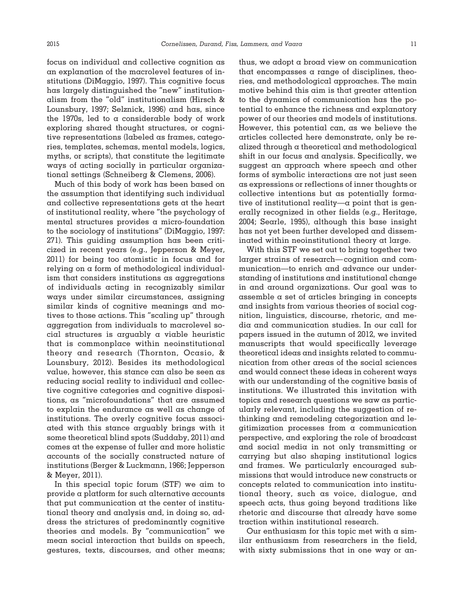focus on individual and collective cognition as an explanation of the macrolevel features of institutions (DiMaggio, 1997). This cognitive focus has largely distinguished the "new" institutionalism from the "old" institutionalism (Hirsch & Lounsbury, 1997; Selznick, 1996) and has, since the 1970s, led to a considerable body of work exploring shared thought structures, or cognitive representations (labeled as frames, categories, templates, schemas, mental models, logics, myths, or scripts), that constitute the legitimate ways of acting socially in particular organizational settings (Schneiberg & Clemens, 2006).

Much of this body of work has been based on the assumption that identifying such individual and collective representations gets at the heart of institutional reality, where "the psychology of mental structures provides a micro-foundation to the sociology of institutions" (DiMaggio, 1997: 271). This guiding assumption has been criticized in recent years (e.g., Jepperson & Meyer, 2011) for being too atomistic in focus and for relying on a form of methodological individualism that considers institutions as aggregations of individuals acting in recognizably similar ways under similar circumstances, assigning similar kinds of cognitive meanings and motives to those actions. This "scaling up" through aggregation from individuals to macrolevel social structures is arguably a viable heuristic that is commonplace within neoinstitutional theory and research (Thornton, Ocasio, & Lounsbury, 2012). Besides its methodological value, however, this stance can also be seen as reducing social reality to individual and collective cognitive categories and cognitive dispositions, as "microfoundations" that are assumed to explain the endurance as well as change of institutions. The overly cognitive focus associated with this stance arguably brings with it some theoretical blind spots (Suddaby, 2011) and comes at the expense of fuller and more holistic accounts of the socially constructed nature of institutions (Berger & Luckmann, 1966; Jepperson & Meyer, 2011).

In this special topic forum (STF) we aim to provide a platform for such alternative accounts that put communication at the center of institutional theory and analysis and, in doing so, address the strictures of predominantly cognitive theories and models. By "communication" we mean social interaction that builds on speech, gestures, texts, discourses, and other means;

thus, we adopt a broad view on communication that encompasses a range of disciplines, theories, and methodological approaches. The main motive behind this aim is that greater attention to the dynamics of communication has the potential to enhance the richness and explanatory power of our theories and models of institutions. However, this potential can, as we believe the articles collected here demonstrate, only be realized through a theoretical and methodological shift in our focus and analysis. Specifically, we suggest an approach where speech and other forms of symbolic interactions are not just seen as expressions or reflections of inner thoughts or collective intentions but as potentially formative of institutional reality—a point that is generally recognized in other fields (e.g., Heritage, 2004; Searle, 1995), although this base insight has not yet been further developed and disseminated within neoinstitutional theory at large.

With this STF we set out to bring together two larger strains of research— cognition and communication—to enrich and advance our understanding of institutions and institutional change in and around organizations. Our goal was to assemble a set of articles bringing in concepts and insights from various theories of social cognition, linguistics, discourse, rhetoric, and media and communication studies. In our call for papers issued in the autumn of 2012, we invited manuscripts that would specifically leverage theoretical ideas and insights related to communication from other areas of the social sciences and would connect these ideas in coherent ways with our understanding of the cognitive basis of institutions. We illustrated this invitation with topics and research questions we saw as particularly relevant, including the suggestion of rethinking and remodeling categorization and legitimization processes from a communication perspective, and exploring the role of broadcast and social media in not only transmitting or carrying but also shaping institutional logics and frames. We particularly encouraged submissions that would introduce new constructs or concepts related to communication into institutional theory, such as voice, dialogue, and speech acts, thus going beyond traditions like rhetoric and discourse that already have some traction within institutional research.

Our enthusiasm for this topic met with a similar enthusiasm from researchers in the field, with sixty submissions that in one way or an-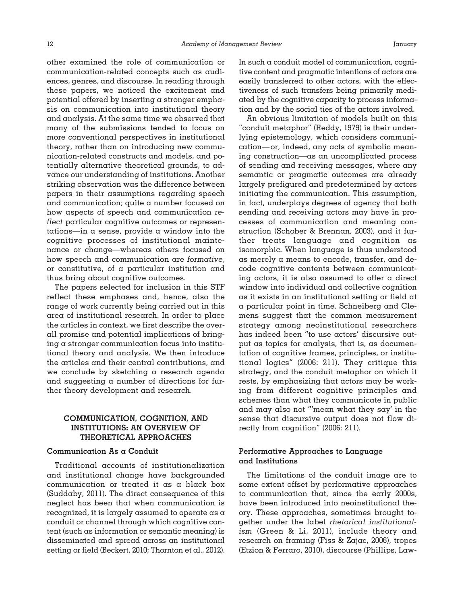other examined the role of communication or communication-related concepts such as audiences, genres, and discourse. In reading through these papers, we noticed the excitement and potential offered by inserting a stronger emphasis on communication into institutional theory and analysis. At the same time we observed that many of the submissions tended to focus on more conventional perspectives in institutional theory, rather than on introducing new communication-related constructs and models, and potentially alternative theoretical grounds, to advance our understanding of institutions. Another striking observation was the difference between papers in their assumptions regarding speech and communication; quite a number focused on how aspects of speech and communication *reflect* particular cognitive outcomes or representations—in a sense, provide a window into the cognitive processes of institutional maintenance or change—whereas others focused on how speech and communication are *formative*, or constitutive, of a particular institution and thus bring about cognitive outcomes.

The papers selected for inclusion in this STF reflect these emphases and, hence, also the range of work currently being carried out in this area of institutional research. In order to place the articles in context, we first describe the overall promise and potential implications of bringing a stronger communication focus into institutional theory and analysis. We then introduce the articles and their central contributions, and we conclude by sketching a research agenda and suggesting a number of directions for further theory development and research.

## **COMMUNICATION, COGNITION, AND INSTITUTIONS: AN OVERVIEW OF THEORETICAL APPROACHES**

#### **Communication As a Conduit**

Traditional accounts of institutionalization and institutional change have backgrounded communication or treated it as a black box (Suddaby, 2011). The direct consequence of this neglect has been that when communication is recognized, it is largely assumed to operate as a conduit or channel through which cognitive content (such as information or semantic meaning) is disseminated and spread across an institutional setting or field (Beckert, 2010; Thornton et al., 2012).

In such a conduit model of communication, cognitive content and pragmatic intentions of actors are easily transferred to other actors, with the effectiveness of such transfers being primarily mediated by the cognitive capacity to process information and by the social ties of the actors involved.

An obvious limitation of models built on this "conduit metaphor" (Reddy, 1979) is their underlying epistemology, which considers communication— or, indeed, any acts of symbolic meaning construction—as an uncomplicated process of sending and receiving messages, where any semantic or pragmatic outcomes are already largely prefigured and predetermined by actors initiating the communication. This assumption, in fact, underplays degrees of agency that both sending and receiving actors may have in processes of communication and meaning construction (Schober & Brennan, 2003), and it further treats language and cognition as isomorphic. When language is thus understood as merely a means to encode, transfer, and decode cognitive contents between communicating actors, it is also assumed to offer a direct window into individual and collective cognition as it exists in an institutional setting or field at a particular point in time. Schneiberg and Clemens suggest that the common measurement strategy among neoinstitutional researchers has indeed been "to use actors' discursive output as topics for analysis, that is, as documentation of cognitive frames, principles, or institutional logics" (2006: 211). They critique this strategy, and the conduit metaphor on which it rests, by emphasizing that actors may be working from different cognitive principles and schemes than what they communicate in public and may also not "'mean what they say' in the sense that discursive output does not flow directly from cognition" (2006: 211).

## **Performative Approaches to Language and Institutions**

The limitations of the conduit image are to some extent offset by performative approaches to communication that, since the early 2000s, have been introduced into neoinstitutional theory. These approaches, sometimes brought together under the label *rhetorical institutionalism* (Green & Li, 2011), include theory and research on framing (Fiss & Zajac, 2006), tropes (Etzion & Ferraro, 2010), discourse (Phillips, Law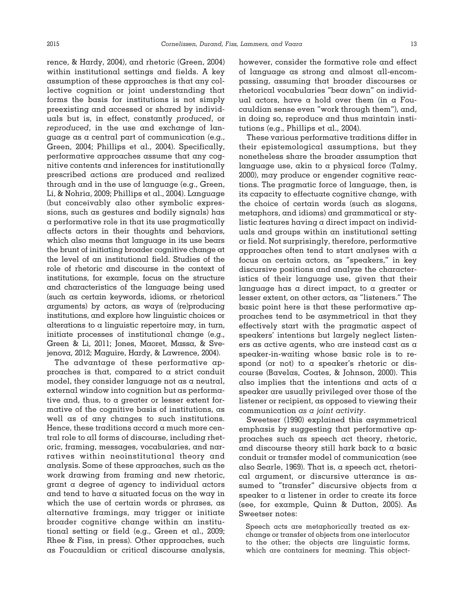rence, & Hardy, 2004), and rhetoric (Green, 2004) within institutional settings and fields. A key assumption of these approaches is that any collective cognition or joint understanding that forms the basis for institutions is not simply preexisting and accessed or shared by individuals but is, in effect, constantly *produced*, or *reproduced*, in the use and exchange of language as a central part of communication (e.g., Green, 2004; Phillips et al., 2004). Specifically, performative approaches assume that any cognitive contents and inferences for institutionally prescribed actions are produced and realized through and in the use of language (e.g., Green, Li, & Nohria, 2009; Phillips et al., 2004). Language (but conceivably also other symbolic expressions, such as gestures and bodily signals) has a performative role in that its use pragmatically affects actors in their thoughts and behaviors, which also means that language in its use bears the brunt of initiating broader cognitive change at the level of an institutional field. Studies of the role of rhetoric and discourse in the context of institutions, for example, focus on the structure and characteristics of the language being used (such as certain keywords, idioms, or rhetorical arguments) by actors, as ways of (re)producing institutions, and explore how linguistic choices or alterations to a linguistic repertoire may, in turn, initiate processes of institutional change (e.g., Green & Li, 2011; Jones, Maoret, Massa, & Svejenova, 2012; Maguire, Hardy, & Lawrence, 2004).

The advantage of these performative approaches is that, compared to a strict conduit model, they consider language not as a neutral, external window into cognition but as performative and, thus, to a greater or lesser extent formative of the cognitive basis of institutions, as well as of any changes to such institutions. Hence, these traditions accord a much more central role to all forms of discourse, including rhetoric, framing, messages, vocabularies, and narratives within neoinstitutional theory and analysis. Some of these approaches, such as the work drawing from framing and new rhetoric, grant a degree of agency to individual actors and tend to have a situated focus on the way in which the use of certain words or phrases, as alternative framings, may trigger or initiate broader cognitive change within an institutional setting or field (e.g., Green et al., 2009; Rhee & Fiss, in press). Other approaches, such as Foucauldian or critical discourse analysis,

however, consider the formative role and effect of language as strong and almost all-encompassing, assuming that broader discourses or rhetorical vocabularies "bear down" on individual actors, have a hold over them (in a Foucauldian sense even "work through them"), and, in doing so, reproduce and thus maintain institutions (e.g., Phillips et al., 2004).

These various performative traditions differ in their epistemological assumptions, but they nonetheless share the broader assumption that language use, akin to a physical force (Talmy, 2000), may produce or engender cognitive reactions. The pragmatic force of language, then, is its capacity to effectuate cognitive change, with the choice of certain words (such as slogans, metaphors, and idioms) and grammatical or stylistic features having a direct impact on individuals and groups within an institutional setting or field. Not surprisingly, therefore, performative approaches often tend to start analyses with a focus on certain actors, as "speakers," in key discursive positions and analyze the characteristics of their language use, given that their language has a direct impact, to a greater or lesser extent, on other actors, as "listeners." The basic point here is that these performative approaches tend to be asymmetrical in that they effectively start with the pragmatic aspect of speakers' intentions but largely neglect listeners as active agents, who are instead cast as a speaker-in-waiting whose basic role is to respond (or not) to a speaker's rhetoric or discourse (Bavelas, Coates, & Johnson, 2000). This also implies that the intentions and acts of a speaker are usually privileged over those of the listener or recipient, as opposed to viewing their communication *as a joint activity*.

Sweetser (1990) explained this asymmetrical emphasis by suggesting that performative approaches such as speech act theory, rhetoric, and discourse theory still hark back to a basic conduit or transfer model of communication (see also Searle, 1969). That is, a speech act, rhetorical argument, or discursive utterance is assumed to "transfer" discursive objects from a speaker to a listener in order to create its force (see, for example, Quinn & Dutton, 2005). As Sweetser notes:

Speech acts are metaphorically treated as exchange or transfer of objects from one interlocutor to the other; the objects are linguistic forms, which are containers for meaning. This object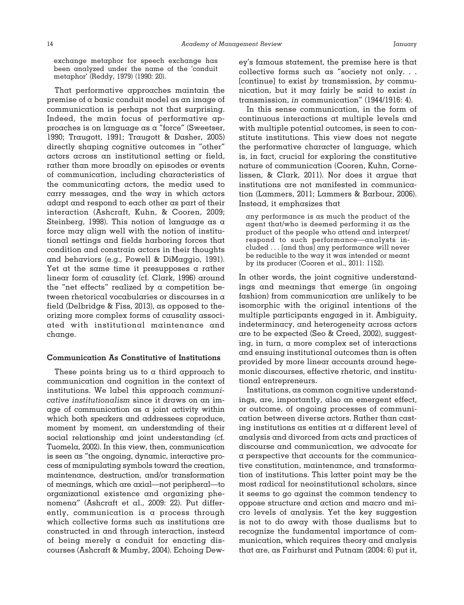exchange metaphor for speech exchange has been analyzed under the name of the 'conduit metaphor' (Reddy, 1979) (1990: 20).

That performative approaches maintain the premise of a basic conduit model as an image of communication is perhaps not that surprising. Indeed, the main focus of performative approaches is on language as a "force" (Sweetser, 1990; Traugott, 1991; Traugott & Dasher, 2005) directly shaping cognitive outcomes in "other" actors across an institutional setting or field, rather than more broadly on episodes or events of communication, including characteristics of the communicating actors, the media used to carry messages, and the way in which actors adapt and respond to each other as part of their interaction (Ashcraft, Kuhn, & Cooren, 2009; Steinberg, 1998). This notion of language as a force may align well with the notion of institutional settings and fields harboring forces that condition and constrain actors in their thoughts and behaviors (e.g., Powell & DiMaggio, 1991). Yet at the same time it presupposes a rather linear form of causality (cf. Clark, 1996) around the "net effects" realized by a competition between rhetorical vocabularies or discourses in a field (Delbridge & Fiss, 2013), as opposed to theorizing more complex forms of causality associated with institutional maintenance and change.

### **Communication As Constitutive of Institutions**

These points bring us to a third approach to communication and cognition in the context of institutions. We label this approach *communicative institutionalism* since it draws on an image of communication as a joint activity within which both speakers and addressees coproduce, moment by moment, an understanding of their social relationship and joint understanding (cf. Tuomela, 2002). In this view, then, communication is seen as "the ongoing, dynamic, interactive process of manipulating symbols toward the creation, maintenance, destruction, and/or transformation of meanings, which are axial—not peripheral—to organizational existence and organizing phenomena" (Ashcraft et al., 2009: 22). Put differently, communication is a process through which collective forms such as institutions are constructed in and through interaction, instead of being merely a conduit for enacting discourses (Ashcraft & Mumby, 2004). Echoing Dew-

ey's famous statement, the premise here is that collective forms such as "society not only. . . [continue] to exist *by* transmission, *by* communication, but it may fairly be said to exist *in* transmission, *in* communication" (1944/1916: 4).

In this sense communication, in the form of continuous interactions at multiple levels and with multiple potential outcomes, is seen to constitute institutions. This view does not negate the performative character of language, which is, in fact, crucial for exploring the constitutive nature of communication (Cooren, Kuhn, Cornelissen, & Clark, 2011). Nor does it argue that institutions are not manifested in communication (Lammers, 2011; Lammers & Barbour, 2006). Instead, it emphasizes that

any performance is as much the product of the agent that/who is deemed performing it as the product of the people who attend and interpret/ respond to such performance—analysts included . . . [and thus] any performance will never be reducible to the way it was intended or meant by its producer (Cooren et al., 2011: 1152).

In other words, the joint cognitive understandings and meanings that emerge (in ongoing fashion) from communication are unlikely to be isomorphic with the original intentions of the multiple participants engaged in it. Ambiguity, indeterminacy, and heterogeneity across actors are to be expected (Seo & Creed, 2002), suggesting, in turn, a more complex set of interactions and ensuing institutional outcomes than is often provided by more linear accounts around hegemonic discourses, effective rhetoric, and institutional entrepreneurs.

Institutions, as common cognitive understandings, are, importantly, also an emergent effect, or outcome, of ongoing processes of communication between diverse actors. Rather than casting institutions as entities at a different level of analysis and divorced from acts and practices of discourse and communication, we advocate for a perspective that accounts for the communicative constitution, maintenance, and transformation of institutions. This latter point may be the most radical for neoinstitutional scholars, since it seems to go against the common tendency to oppose structure and action and macro and micro levels of analysis. Yet the key suggestion is not to do away with those dualisms but to recognize the fundamental importance of communication, which requires theory and analysis that are, as Fairhurst and Putnam (2004: 6) put it,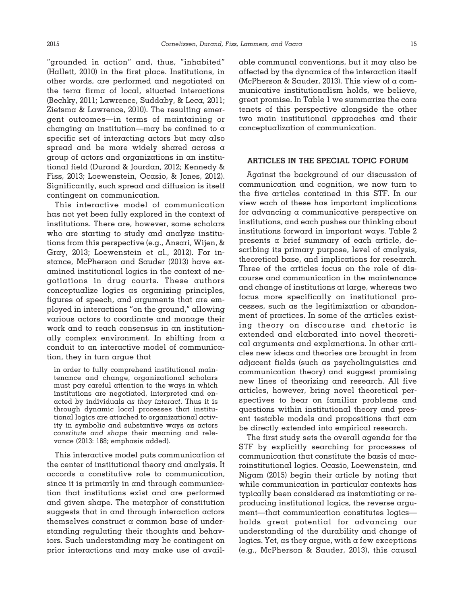"grounded in action" and, thus, "inhabited" (Hallett, 2010) in the first place. Institutions, in other words, are performed and negotiated on the terra firma of local, situated interactions (Bechky, 2011; Lawrence, Suddaby, & Leca, 2011; Zietsma & Lawrence, 2010). The resulting emergent outcomes—in terms of maintaining or changing an institution—may be confined to a specific set of interacting actors but may also spread and be more widely shared across a group of actors and organizations in an institutional field (Durand & Jourdan, 2012; Kennedy & Fiss, 2013; Loewenstein, Ocasio, & Jones, 2012). Significantly, such spread and diffusion is itself contingent on communication.

This interactive model of communication has not yet been fully explored in the context of institutions. There are, however, some scholars who are starting to study and analyze institutions from this perspective (e.g., Ansari, Wijen, & Gray, 2013; Loewenstein et al., 2012). For instance, McPherson and Sauder (2013) have examined institutional logics in the context of negotiations in drug courts. These authors conceptualize logics as organizing principles, figures of speech, and arguments that are employed in interactions "on the ground," allowing various actors to coordinate and manage their work and to reach consensus in an institutionally complex environment. In shifting from a conduit to an interactive model of communication, they in turn argue that

in order to fully comprehend institutional maintenance and change, organizational scholars must pay careful attention to the ways in which institutions are negotiated, interpreted and enacted by individuals *as they interact*. Thus it is through dynamic local processes that institutional logics are attached to organizational activity in symbolic and substantive ways as actors *constitute and shape* their meaning and relevance (2013: 168; emphasis added).

This interactive model puts communication at the center of institutional theory and analysis. It accords a constitutive role to communication, since it is primarily in and through communication that institutions exist and are performed and given shape. The metaphor of constitution suggests that in and through interaction actors themselves construct a common base of understanding regulating their thoughts and behaviors. Such understanding may be contingent on prior interactions and may make use of avail-

able communal conventions, but it may also be affected by the dynamics of the interaction itself (McPherson & Sauder, 2013). This view of a communicative institutionalism holds, we believe, great promise. In Table 1 we summarize the core tenets of this perspective alongside the other two main institutional approaches and their conceptualization of communication.

## **ARTICLES IN THE SPECIAL TOPIC FORUM**

Against the background of our discussion of communication and cognition, we now turn to the five articles contained in this STF. In our view each of these has important implications for advancing a communicative perspective on institutions, and each pushes our thinking about institutions forward in important ways. Table 2 presents a brief summary of each article, describing its primary purpose, level of analysis, theoretical base, and implications for research. Three of the articles focus on the role of discourse and communication in the maintenance and change of institutions at large, whereas two focus more specifically on institutional processes, such as the legitimization or abandonment of practices. In some of the articles existing theory on discourse and rhetoric is extended and elaborated into novel theoretical arguments and explanations. In other articles new ideas and theories are brought in from adjacent fields (such as psycholinguistics and communication theory) and suggest promising new lines of theorizing and research. All five articles, however, bring novel theoretical perspectives to bear on familiar problems and questions within institutional theory and present testable models and propositions that can be directly extended into empirical research.

The first study sets the overall agenda for the STF by explicitly searching for processes of communication that constitute the basis of macroinstitutional logics. Ocasio, Loewenstein, and Nigam (2015) begin their article by noting that while communication in particular contexts has typically been considered as instantiating or reproducing institutional logics, the reverse argument—that communication constitutes logics holds great potential for advancing our understanding of the durability and change of logics. Yet, as they argue, with a few exceptions (e.g., McPherson & Sauder, 2013), this causal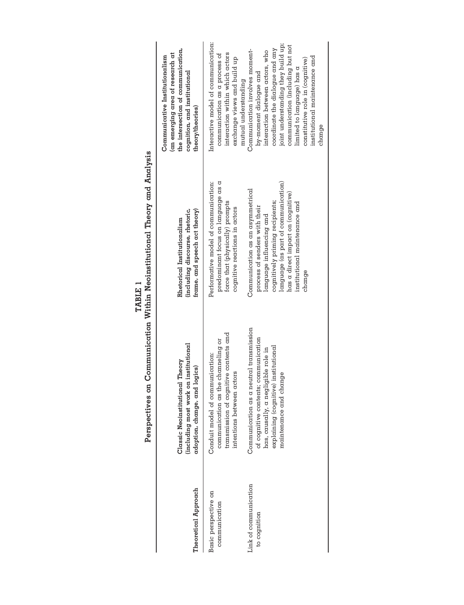| Theoretical Approach                  | on institutional<br>Classic Neoinstitutional Theory<br>adoption, change, and logics)<br>including most work                                                                              | frame, and speech act theory)<br>(including discourse, rhetoric,<br>Rhetorical Institutionalism                                                                                                                                                          | the intersection of communication,<br>(an emerging area of research at<br>Communicative Institutionalism<br>cognition, and institutional<br>theory/theories)                                                                                                               |
|---------------------------------------|------------------------------------------------------------------------------------------------------------------------------------------------------------------------------------------|----------------------------------------------------------------------------------------------------------------------------------------------------------------------------------------------------------------------------------------------------------|----------------------------------------------------------------------------------------------------------------------------------------------------------------------------------------------------------------------------------------------------------------------------|
| Basic perspective on<br>communication | transmission of cognitive contents and<br>communication as the channeling or<br>Conduit model of communication:<br>actors<br>intentions between                                          | predominant focus on language as a<br>Performative model of communication:<br>force that (physically) prompts<br>cognitive reactions in actors                                                                                                           | Interactive model of communication:<br>interaction within which actors<br>communication as a process of<br>exchange views and build up<br>mutual understanding                                                                                                             |
| Link of communication<br>to cognition | Communication as a neutral transmission<br>of cognitive contents; communication<br>explaining (cognitive) institutional<br>has, causally, a negligible role in<br>maintenance and change | language (as part of communication)<br>Communication as an asymmetrical<br>has a direct impact on (cognitive)<br>cognitively priming recipients;<br>institutional maintenance and<br>process of senders with their<br>language influencing and<br>change | joint understanding they build up;<br>communication (including but not<br>coordinate the dialogue and any<br>Communication involves moment-<br>interaction between actors, who<br>constitutive role in (cognitive)<br>limited to language) has a<br>by-moment dialogue and |
|                                       |                                                                                                                                                                                          |                                                                                                                                                                                                                                                          | institutional maintenance and<br>change                                                                                                                                                                                                                                    |

TABLE 1<br>Perspectives on Communication Within Neoinstitutional Theory and Analysis **Perspectives on Communication Within Neoinstitutional Theory and Analysis**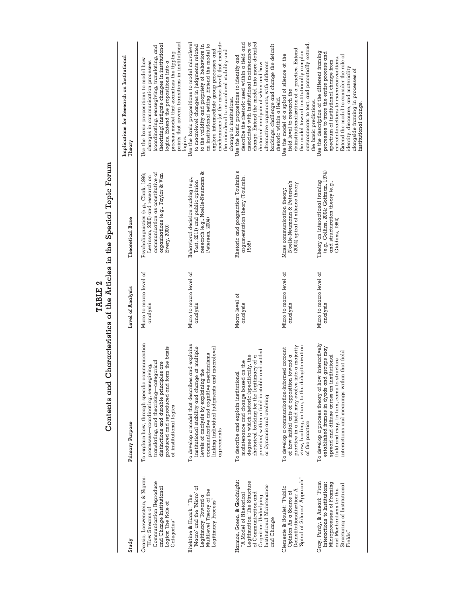TABLE 2 mand Characteristics of the Articles in the Special Topic Forum Contents and Characteristics of the Articles in the Special Topic Forum **Contents and Characteristics of the Articles in the Special Topic Forum TABLE 2**

| Study                                                                                                                                                                           | Primary Purpose                                                                                                                                                                                                                                        | Level of Analysis                   | Theoretical Base                                                                                                                                                  | Implications for Research on Institutional<br>Theory                                                                                                                                                                                                                                                                                                               |
|---------------------------------------------------------------------------------------------------------------------------------------------------------------------------------|--------------------------------------------------------------------------------------------------------------------------------------------------------------------------------------------------------------------------------------------------------|-------------------------------------|-------------------------------------------------------------------------------------------------------------------------------------------------------------------|--------------------------------------------------------------------------------------------------------------------------------------------------------------------------------------------------------------------------------------------------------------------------------------------------------------------------------------------------------------------|
| Ocasio, Loewenstein, & Nigam:<br>Communication Reproduce<br>and Change Institutional<br>Logics: The Role of<br>"How Streams of<br>Categories"                                   | To explain how, through specific communication<br>produced and reproduced and form the basis<br>translating, and theorizing-categorical<br>distinctions and durable principles are<br>processes—coordinating, sensegiving,<br>of institutional logics  | Micro to macro level of<br>analysis | communication as constitutive of<br>organizations (e.g., Taylor & Van<br>Psycholinguistics (e.g., Clark, 1996;<br>Levinson, 2000) and research on<br>Every, 2000) | points that govern transitions in institutional<br>theorizing) instigate changes in institutional<br>(coordinating, sensegiving, translating, and<br>process model that examines the tipping<br>Use the basic propositions to model how<br>changes in communication processes<br>logics. Extend the propositions into a<br>logics.                                 |
| 'Macro' and the 'Micro' of<br>Multilevel Theory of the<br>Bitektine & Haack: "The<br>Legitimacy: Toward a<br>Legitimacy Process"                                                | To develop a model that describes and explains<br>institutional stability and change at multiple<br>linking individual judgments and macrolevel<br>communicative and cognitive mechanisms<br>levels of analysis by explaining the<br>agreements        | Micro to macro level of<br>analysis | research (e.g., Noelle-Neumann &<br>Behavioral decision making (e.g.,<br>Tost, 2011) and public opinion<br>Petersen, 2004)                                        | mechanisms (at the meso level) that mediate<br>Use the basic propositions to model microlevel<br>to macrolevel changes in judgments related<br>an institutional setting. Extend the model to<br>to the validity and propriety of behaviors in<br>explore intermediate group processes and<br>the microlevel to macrolevel stability and<br>change in institutions. |
| Harmon, Green, & Goodnight:<br>Legitimation: The Structure<br>Institutional Maintenance<br>of Communication and<br>"A Model of Rhetorical<br>Cognition Underlying<br>and Change | practice) within a field is stable and settled<br>degree to which rhetoric (specifically, the<br>rhetorical backing for the legitimacy of a<br>maintenance and change based on the<br>To describe and explain institutional<br>or dynamic and evolving | Macro level of<br>analysis          | Rhetoric and pragmatics: Toulmin's<br>argumentation theory (Toulmin,<br>1958)                                                                                     | change. Extend the model into more detailed<br>describe the rhetoric used within a field and<br>associated with institutional maintenance or<br>backings, challenge and change the default<br>Use the basic propositions to identify and<br>alternative arguments, with different<br>rhetorical analysis of when and how<br>rhetoric within a field.               |
| Spiral of Silence' Approach"<br>Clemente & Roulet: "Public<br>Deinstitutionalization: A<br>Opinion As a Source of                                                               | practice in a field may evolve into a majority<br>view, leading, in tum, to the delegitimization<br>To develop a communication-informed account<br>of how initial acts of opposition toward a<br>of the practice                                       | Micro to macro level of<br>analysis | Noelle-Neumann & Petersen's<br>(2004) spiral of silence theory<br>Mass communication theory:                                                                      | environments to test, and potentially extend,<br>deinstitutionalization of a practice. Extend<br>the model toward institutionally complex<br>Use the model of a spiral of silence at the<br>field level to research the<br>the basic predictions.                                                                                                                  |
| Gray, Purdy, & Ansari: "From<br>Microprocesses of Framing<br>Interactions to Institutions:<br>Structuring of Institutional<br>and Mechanisms for the<br>Fields"                 | To develop a process theory of how interactively<br>established frames in dyads and groups may<br>interactions and meanings within that field<br>spread and diffuse across an institutional<br>field and may, in turn, come to structure               | Micro to macro level of<br>analysis | (e.g., Collins, 2004; Goffman, 1974)<br>Theory on interactional framing<br>and structuration theory (e.g.<br>Giddens, 1984)                                       | Use the description of the different framing<br>processes to trace the entire process and<br>Extend the model to consider the role of<br>microinteractions to macroconventions.<br>spectrum of institutional change from<br>identity, discourse, and materiality<br>clongside framing in processes of<br>institutional change.                                     |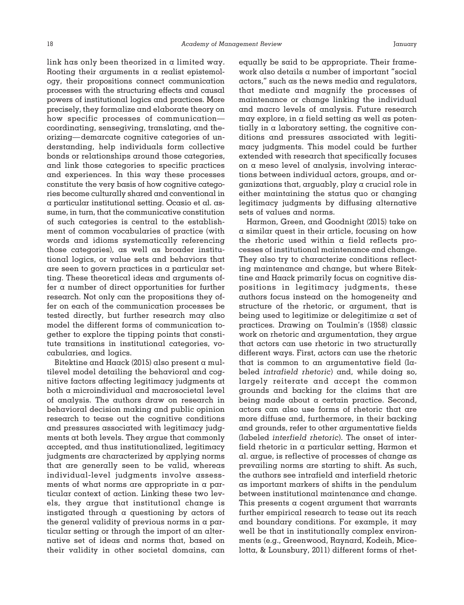link has only been theorized in a limited way. Rooting their arguments in a realist epistemology, their propositions connect communication processes with the structuring effects and causal powers of institutional logics and practices. More precisely, they formalize and elaborate theory on how specific processes of communication coordinating, sensegiving, translating, and theorizing—demarcate cognitive categories of understanding, help individuals form collective bonds or relationships around those categories, and link those categories to specific practices and experiences. In this way these processes constitute the very basis of how cognitive categories become culturally shared and conventional in a particular institutional setting. Ocasio et al. assume, in turn, that the communicative constitution of such categories is central to the establishment of common vocabularies of practice (with words and idioms systematically referencing those categories), as well as broader institutional logics, or value sets and behaviors that are seen to govern practices in a particular setting. These theoretical ideas and arguments offer a number of direct opportunities for further research. Not only can the propositions they offer on each of the communication processes be tested directly, but further research may also model the different forms of communication together to explore the tipping points that constitute transitions in institutional categories, vocabularies, and logics.

Bitektine and Haack (2015) also present a multilevel model detailing the behavioral and cognitive factors affecting legitimacy judgments at both a microindividual and macrosocietal level of analysis. The authors draw on research in behavioral decision making and public opinion research to tease out the cognitive conditions and pressures associated with legitimacy judgments at both levels. They argue that commonly accepted, and thus institutionalized, legitimacy judgments are characterized by applying norms that are generally seen to be valid, whereas individual-level judgments involve assessments of what norms are appropriate in a particular context of action. Linking these two levels, they argue that institutional change is instigated through a questioning by actors of the general validity of previous norms in a particular setting or through the import of an alternative set of ideas and norms that, based on their validity in other societal domains, can

equally be said to be appropriate. Their framework also details a number of important "social actors," such as the news media and regulators, that mediate and magnify the processes of maintenance or change linking the individual and macro levels of analysis. Future research may explore, in a field setting as well as potentially in a laboratory setting, the cognitive conditions and pressures associated with legitimacy judgments. This model could be further extended with research that specifically focuses on a meso level of analysis, involving interactions between individual actors, groups, and organizations that, arguably, play a crucial role in either maintaining the status quo or changing legitimacy judgments by diffusing alternative sets of values and norms.

Harmon, Green, and Goodnight (2015) take on a similar quest in their article, focusing on how the rhetoric used within a field reflects processes of institutional maintenance and change. They also try to characterize conditions reflecting maintenance and change, but where Bitektine and Haack primarily focus on cognitive dispositions in legitimacy judgments, these authors focus instead on the homogeneity and structure of the rhetoric, or argument, that is being used to legitimize or delegitimize  $\alpha$  set of practices. Drawing on Toulmin's (1958) classic work on rhetoric and argumentation, they argue that actors can use rhetoric in two structurally different ways. First, actors can use the rhetoric that is common to an argumentative field (labeled *intrafield rhetoric*) and, while doing so, largely reiterate and accept the common grounds and backing for the claims that are being made about a certain practice. Second, actors can also use forms of rhetoric that are more diffuse and, furthermore, in their backing and grounds, refer to other argumentative fields (labeled *interfield rhetoric*). The onset of interfield rhetoric in a particular setting, Harmon et al. argue, is reflective of processes of change as prevailing norms are starting to shift. As such, the authors see intrafield and interfield rhetoric as important markers of shifts in the pendulum between institutional maintenance and change. This presents a cogent argument that warrants further empirical research to tease out its reach and boundary conditions. For example, it may well be that in institutionally complex environments (e.g., Greenwood, Raynard, Kodeih, Micelotta, & Lounsbury, 2011) different forms of rhet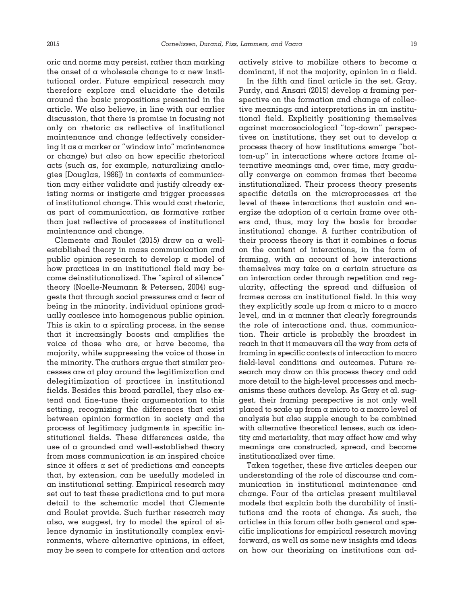oric and norms may persist, rather than marking the onset of  $\alpha$  wholesale change to  $\alpha$  new institutional order. Future empirical research may therefore explore and elucidate the details around the basic propositions presented in the article. We also believe, in line with our earlier discussion, that there is promise in focusing not only on rhetoric as reflective of institutional maintenance and change (effectively considering it as a marker or "window into" maintenance or change) but also on how specific rhetorical acts (such as, for example, naturalizing analogies [Douglas, 1986]) in contexts of communication may either validate and justify already existing norms or instigate and trigger processes of institutional change. This would cast rhetoric, as part of communication, as formative rather than just reflective of processes of institutional maintenance and change.

Clemente and Roulet (2015) draw on a wellestablished theory in mass communication and public opinion research to develop a model of how practices in an institutional field may become deinstitutionalized. The "spiral of silence" theory (Noelle-Neumann & Petersen, 2004) suggests that through social pressures and a fear of being in the minority, individual opinions gradually coalesce into homogenous public opinion. This is akin to a spiraling process, in the sense that it increasingly boosts and amplifies the voice of those who are, or have become, the majority, while suppressing the voice of those in the minority. The authors argue that similar processes are at play around the legitimization and delegitimization of practices in institutional fields. Besides this broad parallel, they also extend and fine-tune their argumentation to this setting, recognizing the differences that exist between opinion formation in society and the process of legitimacy judgments in specific institutional fields. These differences aside, the use of a grounded and well-established theory from mass communication is an inspired choice since it offers a set of predictions and concepts that, by extension, can be usefully modeled in an institutional setting. Empirical research may set out to test these predictions and to put more detail to the schematic model that Clemente and Roulet provide. Such further research may also, we suggest, try to model the spiral of silence dynamic in institutionally complex environments, where alternative opinions, in effect, may be seen to compete for attention and actors

actively strive to mobilize others to become a dominant, if not the majority, opinion in a field.

In the fifth and final article in the set, Gray, Purdy, and Ansari (2015) develop a framing perspective on the formation and change of collective meanings and interpretations in an institutional field. Explicitly positioning themselves against macrosociological "top-down" perspectives on institutions, they set out to develop a process theory of how institutions emerge "bottom-up" in interactions where actors frame alternative meanings and, over time, may gradually converge on common frames that become institutionalized. Their process theory presents specific details on the microprocesses at the level of these interactions that sustain and energize the adoption of a certain frame over others and, thus, may lay the basis for broader institutional change. A further contribution of their process theory is that it combines  $\alpha$  focus on the content of interactions, in the form of framing, with an account of how interactions themselves may take on a certain structure as an interaction order through repetition and regularity, affecting the spread and diffusion of frames across an institutional field. In this way they explicitly scale up from a micro to a macro level, and in a manner that clearly foregrounds the role of interactions and, thus, communication. Their article is probably the broadest in reach in that it maneuvers all the way from acts of framing in specific contexts of interaction to macro field-level conditions and outcomes. Future research may draw on this process theory and add more detail to the high-level processes and mechanisms these authors develop. As Gray et al. suggest, their framing perspective is not only well placed to scale up from a micro to a macro level of analysis but also supple enough to be combined with alternative theoretical lenses, such as identity and materiality, that may affect how and why meanings are constructed, spread, and become institutionalized over time.

Taken together, these five articles deepen our understanding of the role of discourse and communication in institutional maintenance and change. Four of the articles present multilevel models that explain both the durability of institutions and the roots of change. As such, the articles in this forum offer both general and specific implications for empirical research moving forward, as well as some new insights and ideas on how our theorizing on institutions can ad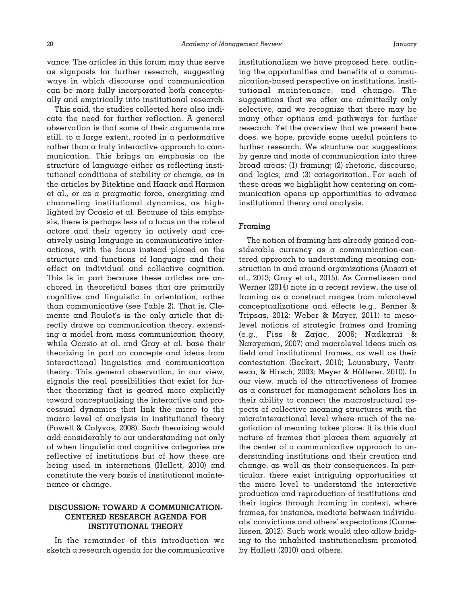vance. The articles in this forum may thus serve as signposts for further research, suggesting ways in which discourse and communication can be more fully incorporated both conceptually and empirically into institutional research.

This said, the studies collected here also indicate the need for further reflection. A general observation is that some of their arguments are still, to  $\alpha$  large extent, rooted in  $\alpha$  performative rather than a truly interactive approach to communication. This brings an emphasis on the structure of language either as reflecting institutional conditions of stability or change, as in the articles by Bitektine and Haack and Harmon et al., or as a pragmatic force, energizing and channeling institutional dynamics, as highlighted by Ocasio et al. Because of this emphasis, there is perhaps less of a focus on the role of actors and their agency in actively and creatively using language in communicative interactions, with the focus instead placed on the structure and functions of language and their effect on individual and collective cognition. This is in part because these articles are anchored in theoretical bases that are primarily cognitive and linguistic in orientation, rather than communicative (see Table 2). That is, Clemente and Roulet's is the only article that directly draws on communication theory, extending a model from mass communication theory, while Ocasio et al. and Gray et al. base their theorizing in part on concepts and ideas from interactional linguistics and communication theory. This general observation, in our view, signals the real possibilities that exist for further theorizing that is geared more explicitly toward conceptualizing the interactive and processual dynamics that link the micro to the macro level of analysis in institutional theory (Powell & Colyvas, 2008). Such theorizing would add considerably to our understanding not only of when linguistic and cognitive categories are reflective of institutions but of how these are being used in interactions (Hallett, 2010) and constitute the very basis of institutional maintenance or change.

## **DISCUSSION: TOWARD A COMMUNICATION-CENTERED RESEARCH AGENDA FOR INSTITUTIONAL THEORY**

In the remainder of this introduction we sketch a research agenda for the communicative institutionalism we have proposed here, outlining the opportunities and benefits of  $\alpha$  communication-based perspective on institutions, institutional maintenance, and change. The suggestions that we offer are admittedly only selective, and we recognize that there may be many other options and pathways for further research. Yet the overview that we present here does, we hope, provide some useful pointers to further research. We structure our suggestions by genre and mode of communication into three broad areas: (1) framing; (2) rhetoric, discourse, and logics; and (3) categorization. For each of these areas we highlight how centering on communication opens up opportunities to advance institutional theory and analysis.

#### **Framing**

The notion of framing has already gained considerable currency as a communication-centered approach to understanding meaning construction in and around organizations (Ansari et al., 2013; Gray et al., 2015). As Cornelissen and Werner  $(2014)$  note in  $\alpha$  recent review, the use of framing as a construct ranges from microlevel conceptualizations and effects (e.g., Benner & Tripsas, 2012; Weber & Mayer, 2011) to mesolevel notions of strategic frames and framing (e.g., Fiss & Zajac, 2006; Nadkarni & Narayanan, 2007) and macrolevel ideas such as field and institutional frames, as well as their contestation (Beckert, 2010; Lounsbury, Ventresca, & Hirsch, 2003; Meyer & Höllerer, 2010). In our view, much of the attractiveness of frames as a construct for management scholars lies in their ability to connect the macrostructural aspects of collective meaning structures with the microinteractional level where much of the negotiation of meaning takes place. It is this dual nature of frames that places them squarely at the center of a communicative approach to understanding institutions and their creation and change, as well as their consequences. In particular, there exist intriguing opportunities at the micro level to understand the interactive production and reproduction of institutions and their logics through framing in context, where frames, for instance, mediate between individuals' convictions and others' expectations (Cornelissen, 2012). Such work would also allow bridging to the inhabited institutionalism promoted by Hallett (2010) and others.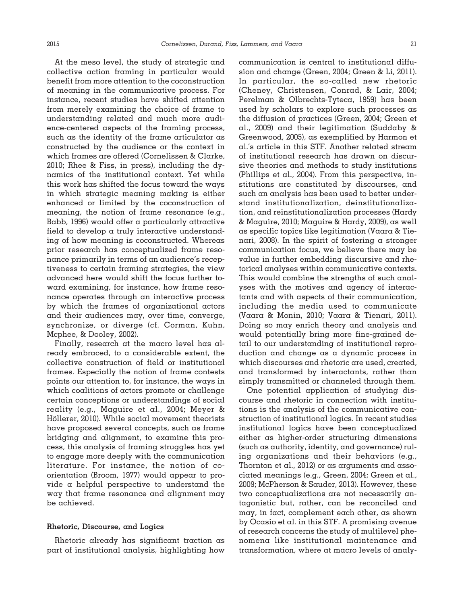At the meso level, the study of strategic and collective action framing in particular would benefit from more attention to the coconstruction of meaning in the communicative process. For instance, recent studies have shifted attention from merely examining the choice of frame to understanding related and much more audience-centered aspects of the framing process, such as the identity of the frame articulator as constructed by the audience or the context in which frames are offered (Cornelissen & Clarke, 2010; Rhee & Fiss, in press), including the dynamics of the institutional context. Yet while this work has shifted the focus toward the ways in which strategic meaning making is either enhanced or limited by the coconstruction of meaning, the notion of frame resonance (e.g., Babb, 1996) would offer a particularly attractive field to develop a truly interactive understanding of how meaning is coconstructed. Whereas prior research has conceptualized frame resonance primarily in terms of an audience's receptiveness to certain framing strategies, the view advanced here would shift the focus further toward examining, for instance, how frame resonance operates through an interactive process by which the frames of organizational actors and their audiences may, over time, converge, synchronize, or diverge (cf. Corman, Kuhn, Mcphee, & Dooley, 2002).

Finally, research at the macro level has already embraced, to a considerable extent, the collective construction of field or institutional frames. Especially the notion of frame contests points our attention to, for instance, the ways in which coalitions of actors promote or challenge certain conceptions or understandings of social reality (e.g., Maguire et al., 2004; Meyer & Höllerer, 2010). While social movement theorists have proposed several concepts, such as frame bridging and alignment, to examine this process, this analysis of framing struggles has yet to engage more deeply with the communication literature. For instance, the notion of coorientation (Broom, 1977) would appear to provide a helpful perspective to understand the way that frame resonance and alignment may be achieved.

#### **Rhetoric, Discourse, and Logics**

Rhetoric already has significant traction as part of institutional analysis, highlighting how

communication is central to institutional diffusion and change (Green, 2004; Green & Li, 2011). In particular, the so-called new rhetoric (Cheney, Christensen, Conrad, & Lair, 2004; Perelman & Olbrechts-Tyteca, 1959) has been used by scholars to explore such processes as the diffusion of practices (Green, 2004; Green et al., 2009) and their legitimation (Suddaby & Greenwood, 2005), as exemplified by Harmon et al.'s article in this STF. Another related stream of institutional research has drawn on discursive theories and methods to study institutions (Phillips et al., 2004). From this perspective, institutions are constituted by discourses, and such an analysis has been used to better understand institutionalization, deinstitutionalization, and reinstitutionalization processes (Hardy & Maguire, 2010; Maguire & Hardy, 2009), as well as specific topics like legitimation (Vaara & Tienari, 2008). In the spirit of fostering  $\alpha$  stronger communication focus, we believe there may be value in further embedding discursive and rhetorical analyses within communicative contexts. This would combine the strengths of such analyses with the motives and agency of interactants and with aspects of their communication, including the media used to communicate (Vaara & Monin, 2010; Vaara & Tienari, 2011). Doing so may enrich theory and analysis and would potentially bring more fine-grained detail to our understanding of institutional reproduction and change as a dynamic process in which discourses and rhetoric are used, created, and transformed by interactants, rather than simply transmitted or channeled through them.

One potential application of studying discourse and rhetoric in connection with institutions is the analysis of the communicative construction of institutional logics. In recent studies institutional logics have been conceptualized either as higher-order structuring dimensions (such as authority, identity, and governance) ruling organizations and their behaviors (e.g., Thornton et al., 2012) or as arguments and associated meanings (e.g., Green, 2004; Green et al., 2009; McPherson & Sauder, 2013). However, these two conceptualizations are not necessarily antagonistic but, rather, can be reconciled and may, in fact, complement each other, as shown by Ocasio et al. in this STF. A promising avenue of research concerns the study of multilevel phenomena like institutional maintenance and transformation, where at macro levels of analy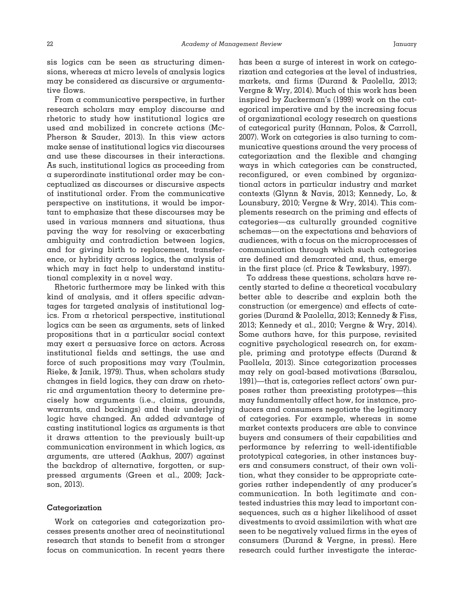sis logics can be seen as structuring dimensions, whereas at micro levels of analysis logics may be considered as discursive or argumentative flows.

From a communicative perspective, in further research scholars may employ discourse and rhetoric to study how institutional logics are used and mobilized in concrete actions (Mc-Pherson & Sauder, 2013). In this view actors make sense of institutional logics via discourses and use these discourses in their interactions. As such, institutional logics as proceeding from a superordinate institutional order may be conceptualized as discourses or discursive aspects of institutional order. From the communicative perspective on institutions, it would be important to emphasize that these discourses may be used in various manners and situations, thus paving the way for resolving or exacerbating ambiguity and contradiction between logics, and for giving birth to replacement, transference, or hybridity across logics, the analysis of which may in fact help to understand institutional complexity in a novel way.

Rhetoric furthermore may be linked with this kind of analysis, and it offers specific advantages for targeted analysis of institutional logics. From a rhetorical perspective, institutional logics can be seen as arguments, sets of linked propositions that in a particular social context may exert a persuasive force on actors. Across institutional fields and settings, the use and force of such propositions may vary (Toulmin, Rieke, & Janik, 1979). Thus, when scholars study changes in field logics, they can draw on rhetoric and argumentation theory to determine precisely how arguments (i.e., claims, grounds, warrants, and backings) and their underlying logic have changed. An added advantage of casting institutional logics as arguments is that it draws attention to the previously built-up communication environment in which logics, as arguments, are uttered (Aakhus, 2007) against the backdrop of alternative, forgotten, or suppressed arguments (Green et al., 2009; Jackson, 2013).

#### **Categorization**

Work on categories and categorization processes presents another area of neoinstitutional research that stands to benefit from a stronger focus on communication. In recent years there

has been a surge of interest in work on categorization and categories at the level of industries, markets, and firms (Durand & Paolella, 2013; Vergne & Wry, 2014). Much of this work has been inspired by Zuckerman's (1999) work on the categorical imperative and by the increasing focus of organizational ecology research on questions of categorical purity (Hannan, Polos, & Carroll, 2007). Work on categories is also turning to communicative questions around the very process of categorization and the flexible and changing ways in which categories can be constructed, reconfigured, or even combined by organizational actors in particular industry and market contexts (Glynn & Navis, 2013; Kennedy, Lo, & Lounsbury, 2010; Vergne & Wry, 2014). This complements research on the priming and effects of categories—as culturally grounded cognitive schemas— on the expectations and behaviors of audiences, with a focus on the microprocesses of communication through which such categories are defined and demarcated and, thus, emerge in the first place (cf. Price & Tewksbury, 1997).

To address these questions, scholars have recently started to define a theoretical vocabulary better able to describe and explain both the construction (or emergence) and effects of categories (Durand & Paolella, 2013; Kennedy & Fiss, 2013; Kennedy et al., 2010; Vergne & Wry, 2014). Some authors have, for this purpose, revisited cognitive psychological research on, for example, priming and prototype effects (Durand & Paollela, 2013). Since categorization processes may rely on goal-based motivations (Barsalou, 1991)—that is, categories reflect actors' own purposes rather than preexisting prototypes—this may fundamentally affect how, for instance, producers and consumers negotiate the legitimacy of categories. For example, whereas in some market contexts producers are able to convince buyers and consumers of their capabilities and performance by referring to well-identifiable prototypical categories, in other instances buyers and consumers construct, of their own volition, what they consider to be appropriate categories rather independently of any producer's communication. In both legitimate and contested industries this may lead to important consequences, such as a higher likelihood of asset divestments to avoid assimilation with what are seen to be negatively valued firms in the eyes of consumers (Durand & Vergne, in press). Here research could further investigate the interac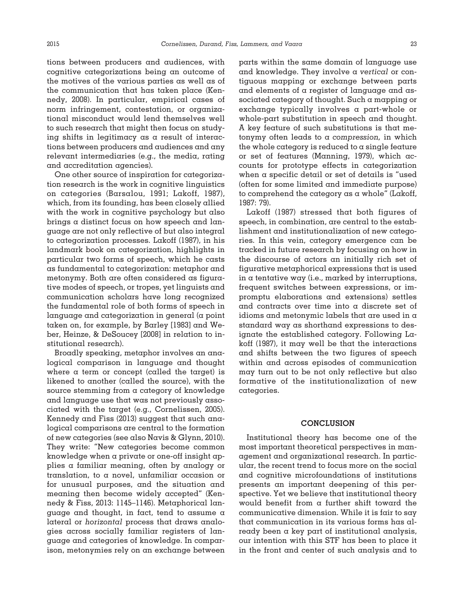tions between producers and audiences, with cognitive categorizations being an outcome of the motives of the various parties as well as of the communication that has taken place (Kennedy, 2008). In particular, empirical cases of norm infringement, contestation, or organizational misconduct would lend themselves well to such research that might then focus on studying shifts in legitimacy as a result of interactions between producers and audiences and any relevant intermediaries (e.g., the media, rating and accreditation agencies).

One other source of inspiration for categorization research is the work in cognitive linguistics on categories (Barsalou, 1991; Lakoff, 1987), which, from its founding, has been closely allied with the work in cognitive psychology but also brings a distinct focus on how speech and language are not only reflective of but also integral to categorization processes. Lakoff (1987), in his landmark book on categorization, highlights in particular two forms of speech, which he casts as fundamental to categorization: metaphor and metonymy. Both are often considered as figurative modes of speech, or tropes, yet linguists and communication scholars have long recognized the fundamental role of both forms of speech in language and categorization in general (a point taken on, for example, by Barley [1983] and Weber, Heinze, & DeSoucey [2008] in relation to institutional research).

Broadly speaking, metaphor involves an analogical comparison in language and thought where a term or concept (called the target) is likened to another (called the source), with the source stemming from a category of knowledge and language use that was not previously associated with the target (e.g., Cornelissen, 2005). Kennedy and Fiss (2013) suggest that such analogical comparisons are central to the formation of new categories (see also Navis & Glynn, 2010). They write: "New categories become common knowledge when a private or one-off insight applies a familiar meaning, often by analogy or translation, to a novel, unfamiliar occasion or for unusual purposes, and the situation and meaning then become widely accepted" (Kennedy & Fiss, 2013: 1145–1146). Metaphorical language and thought, in fact, tend to assume a lateral or *horizontal* process that draws analogies across socially familiar registers of language and categories of knowledge. In comparison, metonymies rely on an exchange between

parts within the same domain of language use and knowledge. They involve a *vertical* or contiguous mapping or exchange between parts and elements of a register of language and associated category of thought. Such a mapping or exchange typically involves a part-whole or whole-part substitution in speech and thought. A key feature of such substitutions is that metonymy often leads to a *compression,* in which the whole category is reduced to a single feature or set of features (Manning, 1979), which accounts for prototype effects in categorization when a specific detail or set of details is "used (often for some limited and immediate purpose) to comprehend the category as a whole" (Lakoff, 1987: 79).

Lakoff (1987) stressed that both figures of speech, in combination, are central to the establishment and institutionalization of new categories. In this vein, category emergence can be tracked in future research by focusing on how in the discourse of actors an initially rich set of figurative metaphorical expressions that is used in  $\alpha$  tentative way (i.e., marked by interruptions, frequent switches between expressions, or impromptu elaborations and extensions) settles and contracts over time into a discrete set of idioms and metonymic labels that are used in a standard way as shorthand expressions to designate the established category. Following Lakoff (1987), it may well be that the interactions and shifts between the two figures of speech within and across episodes of communication may turn out to be not only reflective but also formative of the institutionalization of new categories.

#### **CONCLUSION**

Institutional theory has become one of the most important theoretical perspectives in management and organizational research. In particular, the recent trend to focus more on the social and cognitive microfoundations of institutions presents an important deepening of this perspective. Yet we believe that institutional theory would benefit from a further shift toward the communicative dimension. While it is fair to say that communication in its various forms has already been a key part of institutional analysis, our intention with this STF has been to place it in the front and center of such analysis and to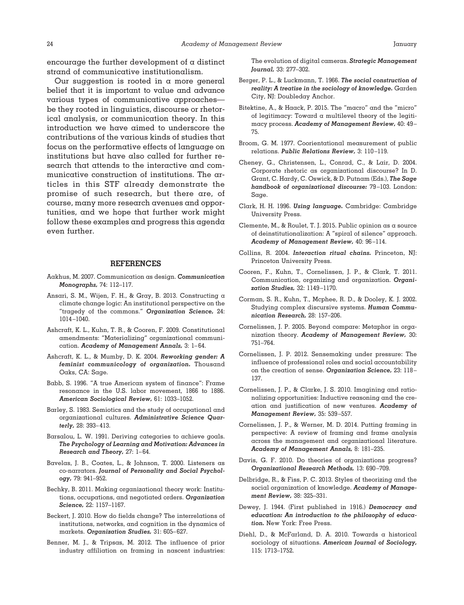encourage the further development of  $\alpha$  distinct strand of communicative institutionalism.

Our suggestion is rooted in a more general belief that it is important to value and advance various types of communicative approaches be they rooted in linguistics, discourse or rhetorical analysis, or communication theory. In this introduction we have aimed to underscore the contributions of the various kinds of studies that focus on the performative effects of language on institutions but have also called for further research that attends to the interactive and communicative construction of institutions. The articles in this STF already demonstrate the promise of such research, but there are, of course, many more research avenues and opportunities, and we hope that further work might follow these examples and progress this agenda even further.

#### **REFERENCES**

- Aakhus, M. 2007. Communication as design. *Communication Monographs,* 74: 112–117.
- Ansari, S. M., Wijen, F. H., & Gray, B. 2013. Constructing a climate change logic: An institutional perspective on the "tragedy of the commons." *Organization Science,* 24: 1014 –1040.
- Ashcraft, K. L., Kuhn, T. R., & Cooren, F. 2009. Constitutional amendments: "Materializing" organizational communication. *Academy of Management Annals,* 3: 1– 64.
- Ashcraft, K. L., & Mumby, D. K. 2004. *Reworking gender: A feminist communicology of organization.* Thousand Oaks, CA: Sage.
- Babb, S. 1996. "A true American system of finance": Frame resonance in the U.S. labor movement, 1866 to 1886. *American Sociological Review,* 61: 1033–1052.
- Barley, S. 1983. Semiotics and the study of occupational and organizational cultures. *Administrative Science Quarterly,* 28: 393– 413.
- Barsalou, L. W. 1991. Deriving categories to achieve goals. *The Psychology of Learning and Motivation: Advances in Research and Theory,* 27: 1– 64.
- Bavelas, J. B., Coates, L., & Johnson, T. 2000. Listeners as co-narrators. *Journal of Personality and Social Psychology,* 79: 941–952.
- Bechky, B. 2011. Making organizational theory work: Institutions, occupations, and negotiated orders. *Organization Science,* 22: 1157–1167.
- Beckert, J. 2010. How do fields change? The interrelations of institutions, networks, and cognition in the dynamics of markets. *Organization Studies,* 31: 605– 627.
- Benner, M. J., & Tripsas, M. 2012. The influence of prior industry affiliation on framing in nascent industries:

The evolution of digital cameras. *Strategic Management Journal,* 33: 277–302.

- Berger, P. L., & Luckmann, T. 1966. *The social construction of reality: A treatise in the sociology of knowledge.* Garden City, NJ: Doubleday Anchor.
- Bitektine, A., & Haack, P. 2015. The "macro" and the "micro" of legitimacy: Toward a multilevel theory of the legitimacy process. *Academy of Management Review,* 40: 49 – 75.
- Broom, G. M. 1977. Coorientational measurement of public relations. *Public Relations Review,* 3: 110 –119.
- Cheney, G., Christensen, L., Conrad, C., & Lair, D. 2004. Corporate rhetoric as organizational discourse? In D. Grant, C. Hardy, C. Oswick, & D. Putnam (Eds.), *The Sage handbook of organizational discourse:* 79 –103. London: Sage.
- Clark, H. H. 1996. *Using language.* Cambridge: Cambridge University Press.
- Clemente, M., & Roulet, T. J. 2015. Public opinion as a source of deinstitutionalization: A "spiral of silence" approach. *Academy of Management Review,* 40: 96 –114.
- Collins, R. 2004. *Interaction ritual chains.* Princeton, NJ: Princeton University Press.
- Cooren, F., Kuhn, T., Cornelissen, J. P., & Clark, T. 2011. Communication, organizing and organization. *Organization Studies,* 32: 1149 –1170.
- Corman, S. R., Kuhn, T., Mcphee, R. D., & Dooley, K. J. 2002. Studying complex discursive systems. *Human Communication Research,* 28: 157–206.
- Cornelissen, J. P. 2005. Beyond compare: Metaphor in organization theory. *Academy of Management Review,* 30: 751–764.
- Cornelissen, J. P. 2012. Sensemaking under pressure: The influence of professional roles and social accountability on the creation of sense. *Organization Science,* 23: 118 – 137.
- Cornelissen, J. P., & Clarke, J. S. 2010. Imagining and rationalizing opportunities: Inductive reasoning and the creation and justification of new ventures. *Academy of Management Review,* 35: 539 –557.
- Cornelissen, J. P., & Werner, M. D. 2014. Putting framing in perspective: A review of framing and frame analysis across the management and organizational literature. *Academy of Management Annals,* 8: 181–235.
- Davis, G. F. 2010. Do theories of organizations progress? *Organizational Research Methods,* 13: 690 –709.
- Delbridge, R., & Fiss, P. C. 2013. Styles of theorizing and the social organization of knowledge. *Academy of Management Review,* 38: 325–331.
- Dewey, J. 1944. (First published in 1916.) *Democracy and education: An introduction to the philosophy of education.* New York: Free Press.
- Diehl, D., & McFarland, D. A. 2010. Towards a historical sociology of situations. *American Journal of Sociology,* 115: 1713–1752.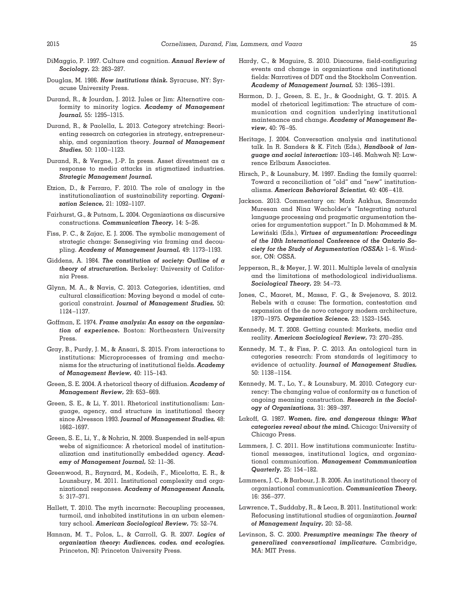- DiMaggio, P. 1997. Culture and cognition. *Annual Review of Sociology,* 23: 263–287.
- Douglas, M. 1986. *How institutions think.* Syracuse, NY: Syracuse University Press.
- Durand, R., & Jourdan, J. 2012. Jules or Jim: Alternative conformity to minority logics. *Academy of Management Journal,* 55: 1295–1315.
- Durand, R., & Paolella, L. 2013. Category stretching: Reorienting research on categories in strategy, entrepreneurship, and organization theory. *Journal of Management Studies,* 50: 1100 –1123.
- Durand, R., & Vergne, J.-P. In press. Asset divestment as a response to media attacks in stigmatized industries. *Strategic Management Journal.*
- Etzion, D., & Ferraro, F. 2010. The role of analogy in the institutionalization of sustainability reporting. *Organization Science,* 21: 1092–1107.
- Fairhurst, G., & Putnam, L. 2004. Organizations as discursive constructions. *Communication Theory,* 14: 5–26.
- Fiss, P. C., & Zajac, E. J. 2006. The symbolic management of strategic change: Sensegiving via framing and decoupling. *Academy of Management Journal,* 49: 1173–1193.
- Giddens, A. 1984. *The constitution of society: Outline of a theory of structuration.* Berkeley: University of California Press.
- Glynn, M. A., & Navis, C. 2013. Categories, identities, and cultural classification: Moving beyond a model of categorical constraint. *Journal of Management Studies,* 50: 1124 –1137.
- Goffman, E. 1974. *Frame analysis: An essay on the organization of experience.* Boston: Northeastern University Press.
- Gray, B., Purdy, J. M., & Ansari, S. 2015. From interactions to institutions: Microprocesses of framing and mechanisms for the structuring of institutional fields. *Academy of Management Review,* 40: 115–143.
- Green, S. E. 2004. A rhetorical theory of diffusion. *Academy of Management Review,* 29: 653– 669.
- Green, S. E., & Li, Y. 2011. Rhetorical institutionalism: Language, agency, and structure in institutional theory since Alvesson 1993. *Journal of Management Studies,* 48: 1662–1697.
- Green, S. E., Li, Y., & Nohria, N. 2009. Suspended in self-spun webs of significance: A rhetorical model of institutionalization and institutionally embedded agency. *Academy of Management Journal,* 52: 11–36.
- Greenwood, R., Raynard, M., Kodeih, F., Micelotta, E. R., & Lounsbury, M. 2011. Institutional complexity and organizational responses. *Academy of Management Annals,* 5: 317–371.
- Hallett, T. 2010. The myth incarnate: Recoupling processes, turmoil, and inhabited institutions in an urban elementary school. *American Sociological Review,* 75: 52–74.
- Hannan, M. T., Polos, L., & Carroll, G. R. 2007. *Logics of organization theory: Audiences, codes, and ecologies.* Princeton, NJ: Princeton University Press.
- Hardy, C., & Maguire, S. 2010. Discourse, field-configuring events and change in organizations and institutional fields: Narratives of DDT and the Stockholm Convention. *Academy of Management Journal,* 53: 1365–1391.
- Harmon, D. J., Green, S. E., Jr., & Goodnight, G. T. 2015. A model of rhetorical legitimation: The structure of communication and cognition underlying institutional maintenance and change. *Academy of Management Review,* 40: 76 –95.
- Heritage, J. 2004. Conversation analysis and institutional talk. In R. Sanders & K. Fitch (Eds.), *Handbook of language and social interaction:* 103–146. Mahwah NJ: Lawrence Erlbaum Associates.
- Hirsch, P., & Lounsbury, M. 1997. Ending the family quarrel: Toward a reconciliation of "old" and "new" institutionalisms. *American Behavioral Scientist,* 40: 406 – 418.
- Jackson. 2013. Commentary on: Mark Aakhus, Smaranda Muresan and Nina Wacholder's "Integrating natural language processing and pragmatic argumentation theories for argumentation support." In D. Mohammed & M. Lewiński (Eds.), Virtues of argumentation: Proceedings *of the 10th International Conference of the Ontario So*ciety for the Study of Argumentation (OSSA): 1-6. Windsor, ON: OSSA.
- Jepperson, R., & Meyer, J. W. 2011. Multiple levels of analysis and the limitations of methodological individualisms. *Sociological Theory,* 29: 54 –73.
- Jones, C., Maoret, M., Massa, F. G., & Svejenova, S. 2012. Rebels with a cause: The formation, contestation and expansion of the de novo category modern architecture, 1870 –1975. *Organization Science,* 23: 1523–1545.
- Kennedy, M. T. 2008. Getting counted: Markets, media and reality. *American Sociological Review,* 73: 270 –295.
- Kennedy, M. T., & Fiss, P. C. 2013. An ontological turn in categories research: From standards of legitimacy to evidence of actuality. *Journal of Management Studies,* 50: 1138 –1154.
- Kennedy, M. T., Lo, Y., & Lounsbury, M. 2010. Category currency: The changing value of conformity as a function of ongoing meaning construction. *Research in the Sociology of Organizations,* 31: 369 –397.
- Lakoff, G. 1987. *Women, fire, and dangerous things: What categories reveal about the mind.* Chicago: University of Chicago Press.
- Lammers, J. C. 2011. How institutions communicate: Institutional messages, institutional logics, and organizational communication. *Management Commmunication Quarterly,* 25: 154 –182.
- Lammers, J. C., & Barbour, J. B. 2006. An institutional theory of organizational communication. *Communication Theory,* 16: 356 –377.
- Lawrence, T., Suddaby, R., & Leca, B. 2011. Institutional work: Refocusing institutional studies of organization. *Journal of Management Inquiry,* 20: 52–58.
- Levinson, S. C. 2000. *Presumptive meanings: The theory of generalized conversational implicature.* Cambridge, MA: MIT Press.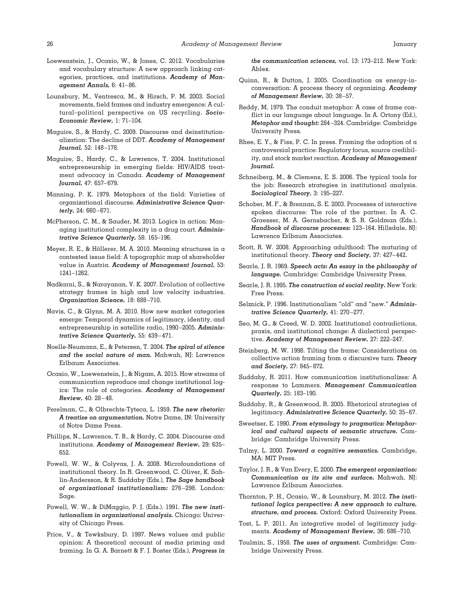- Loewenstein, J., Ocasio, W., & Jones, C. 2012. Vocabularies and vocabulary structure: A new approach linking categories, practices, and institutions. *Academy of Management Annals,* 6: 41– 86.
- Lounsbury, M., Ventresca, M., & Hirsch, P. M. 2003. Social movements, field frames and industry emergence: A cultural–political perspective on US recycling. *Socio-Economic Review,* 1: 71–104.
- Maguire, S., & Hardy, C. 2009. Discourse and deinstitutionalization: The decline of DDT. *Academy of Management Journal,* 52: 148 –178.
- Maguire, S., Hardy, C., & Lawrence, T. 2004. Institutional entrepreneurship in emerging fields: HIV/AIDS treatment advocacy in Canada. *Academy of Management Journal,* 47: 657– 679.
- Manning, P. K. 1979. Metaphors of the field: Varieties of organizational discourse. *Administrative Science Quarterly,* 24: 660 – 671.
- McPherson, C. M., & Sauder, M. 2013. Logics in action: Managing institutional complexity in a drug court. *Administrative Science Quarterly,* 58: 165–196.
- Meyer, R. E., & Höllerer, M. A. 2010. Meaning structures in  $\alpha$ contested issue field: A topographic map of shareholder value in Austria. *Academy of Management Journal,* 53: 1241–1262.
- Nadkarni, S., & Narayanan, V. K. 2007. Evolution of collective strategy frames in high and low velocity industries. *Organization Science,* 18: 688 –710.
- Navis, C., & Glynn, M. A. 2010. How new market categories emerge: Temporal dynamics of legitimacy, identity, and entrepreneurship in satellite radio, 1990 –2005. *Administrative Science Quarterly,* 55: 439 – 471.
- Noelle-Neumann, E., & Petersen, T. 2004. *The spiral of silence and the social nature of man.* Mahwah, NJ: Lawrence Erlbaum Associates.
- Ocasio, W., Loewenstein, J., & Nigam, A. 2015. How streams of communication reproduce and change institutional logics: The role of categories. *Academy of Management Review,* 40: 28 – 48.
- Perelman, C., & Olbrechts-Tyteca, L. 1959. *The new rhetoric: A treatise on argumentation.* Notre Dame, IN: University of Notre Dame Press.
- Phillips, N., Lawrence, T. B., & Hardy, C. 2004. Discourse and institutions. *Academy of Management Review,* 29: 635– 652.
- Powell, W. W., & Colyvas, J. A. 2008. Microfoundations of institutional theory. In R. Greenwood, C. Oliver, K. Sahlin-Andersson, & R. Suddaby (Eds.), *The Sage handbook of organizational institutionalism:* 276 –298. London: Sage.
- Powell, W. W., & DiMaggio, P. J. (Eds.). 1991. *The new institutionalism in organizational analysis.* Chicago: University of Chicago Press.
- Price, V., & Tewksbury, D. 1997. News values and public opinion: A theoretical account of media priming and framing. In G. A. Barnett & F. J. Boster (Eds.), *Progress in*

*the communication sciences,* vol. 13: 173–212. New York: Ablex.

- Quinn, R., & Dutton, J. 2005. Coordination as energy-inconversation: A process theory of organizing. *Academy of Management Review,* 30: 38 –57.
- Reddy, M. 1979. The conduit metaphor: A case of frame conflict in our language about language. In A. Ortony (Ed.), *Metaphor and thought:* 284 –324. Cambridge: Cambridge University Press.
- Rhee, E. Y., & Fiss, P. C. In press. Framing the adoption of  $\alpha$ controversial practice: Regulatory focus, source credibility, and stock market reaction. *Academy of Management Journal.*
- Schneiberg, M., & Clemens, E. S. 2006. The typical tools for the job: Research strategies in institutional analysis. *Sociological Theory,* 3: 195–227.
- Schober, M. F., & Brennan, S. E. 2003. Processes of interactive spoken discourse: The role of the partner. In A. C. Graesser, M. A. Gernsbacher, & S. R. Goldman (Eds.), *Handbook of discourse processes:* 123–164. Hillsdale, NJ: Lawrence Erlbaum Associates.
- Scott, R. W. 2008. Approaching adulthood: The maturing of institutional theory. *Theory and Society,* 37: 427– 442.
- Searle, J. R. 1969. *Speech acts: An essay in the philosophy of language.* Cambridge: Cambridge University Press.
- Searle, J. R. 1995. *The construction of social reality.* New York: Free Press.
- Selznick, P. 1996. Institutionalism "old" and "new." *Administrative Science Quarterly,* 41: 270 –277.
- Seo, M. G., & Creed, W. D. 2002. Institutional contradictions, praxis, and institutional change: A dialectical perspective. *Academy of Management Review,* 27: 222–247.
- Steinberg, M. W. 1998. Tilting the frame: Considerations on collective action framing from a discursive turn. *Theory and Society,* 27: 845– 872.
- Suddaby, R. 2011. How communication institutionalizes: A response to Lammers. *Management Communication Quarterly,* 25: 183–190.
- Suddaby, R., & Greenwood, R. 2005. Rhetorical strategies of legitimacy. *Administrative Science Quarterly,* 50: 35– 67.
- Sweetser, E. 1990. *From etymology to pragmatics: Metaphorical and cultural aspects of semantic structure.* Cambridge: Cambridge University Press.
- Talmy, L. 2000. *Toward a cognitive semantics.* Cambridge, MA: MIT Press.
- Taylor, J. R., & Van Every, E. 2000. *The emergent organization: Communication as its site and surface.* Mahwah, NJ: Lawrence Erlbaum Associates.
- Thornton, P. H., Ocasio, W., & Lounsbury, M. 2012. *The institutional logics perspective: A new approach to culture, structure, and process.* Oxford: Oxford University Press.
- Tost, L. P. 2011. An integrative model of legitimacy judgments. *Academy of Management Review,* 36: 686 –710.
- Toulmin, S., 1958. *The uses of argument.* Cambridge: Cambridge University Press.